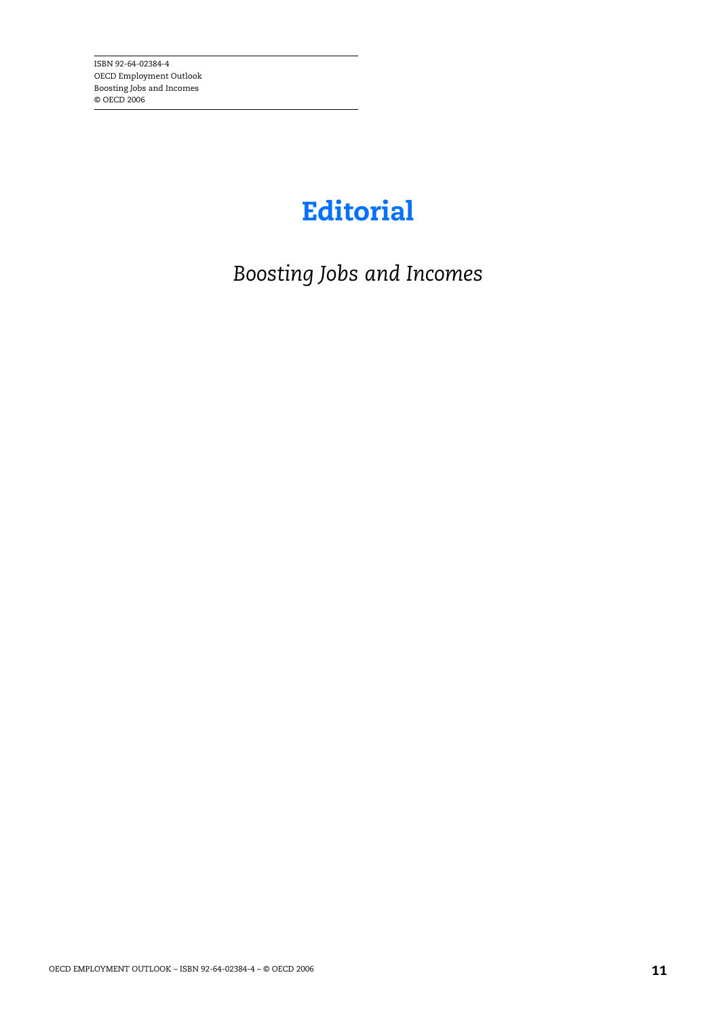## **Editorial**

*Boosting Jobs and Incomes*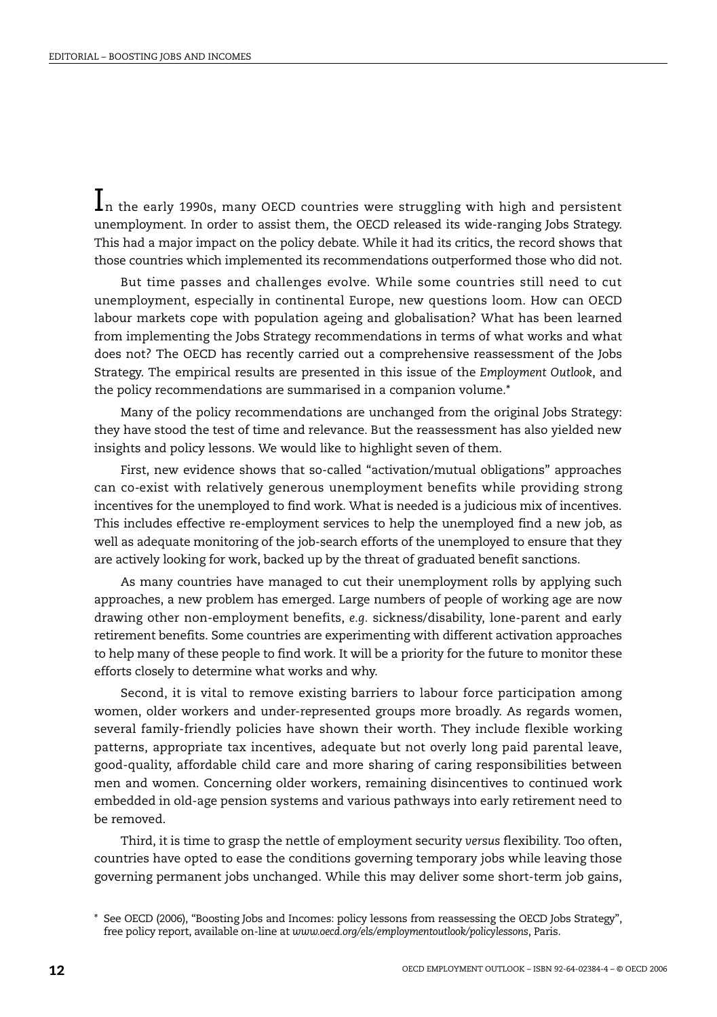$\mathbf{l}_n$  the early 1990s, many OECD countries were struggling with high and persistent unemployment. In order to assist them, the OECD released its wide-ranging Jobs Strategy. This had a major impact on the policy debate. While it had its critics, the record shows that those countries which implemented its recommendations outperformed those who did not.

But time passes and challenges evolve. While some countries still need to cut unemployment, especially in continental Europe, new questions loom. How can OECD labour markets cope with population ageing and globalisation? What has been learned from implementing the Jobs Strategy recommendations in terms of what works and what does not? The OECD has recently carried out a comprehensive reassessment of the Jobs Strategy. The empirical results are presented in this issue of the *Employment Outlook*, and the policy recommendations are summarised in a companion volume.\*

Many of the policy recommendations are unchanged from the original Jobs Strategy: they have stood the test of time and relevance. But the reassessment has also yielded new insights and policy lessons. We would like to highlight seven of them.

First, new evidence shows that so-called "activation/mutual obligations" approaches can co-exist with relatively generous unemployment benefits while providing strong incentives for the unemployed to find work. What is needed is a judicious mix of incentives. This includes effective re-employment services to help the unemployed find a new job, as well as adequate monitoring of the job-search efforts of the unemployed to ensure that they are actively looking for work, backed up by the threat of graduated benefit sanctions.

As many countries have managed to cut their unemployment rolls by applying such approaches, a new problem has emerged. Large numbers of people of working age are now drawing other non-employment benefits, *e.g.* sickness/disability, lone-parent and early retirement benefits. Some countries are experimenting with different activation approaches to help many of these people to find work. It will be a priority for the future to monitor these efforts closely to determine what works and why.

Second, it is vital to remove existing barriers to labour force participation among women, older workers and under-represented groups more broadly. As regards women, several family-friendly policies have shown their worth. They include flexible working patterns, appropriate tax incentives, adequate but not overly long paid parental leave, good-quality, affordable child care and more sharing of caring responsibilities between men and women. Concerning older workers, remaining disincentives to continued work embedded in old-age pension systems and various pathways into early retirement need to be removed.

Third, it is time to grasp the nettle of employment security *versus* flexibility. Too often, countries have opted to ease the conditions governing temporary jobs while leaving those governing permanent jobs unchanged. While this may deliver some short-term job gains,

<sup>\*</sup> See OECD (2006), "Boosting Jobs and Incomes: policy lessons from reassessing the OECD Jobs Strategy", free policy report, available on-line at *www.oecd.org/els/employmentoutlook/policylessons*, Paris.